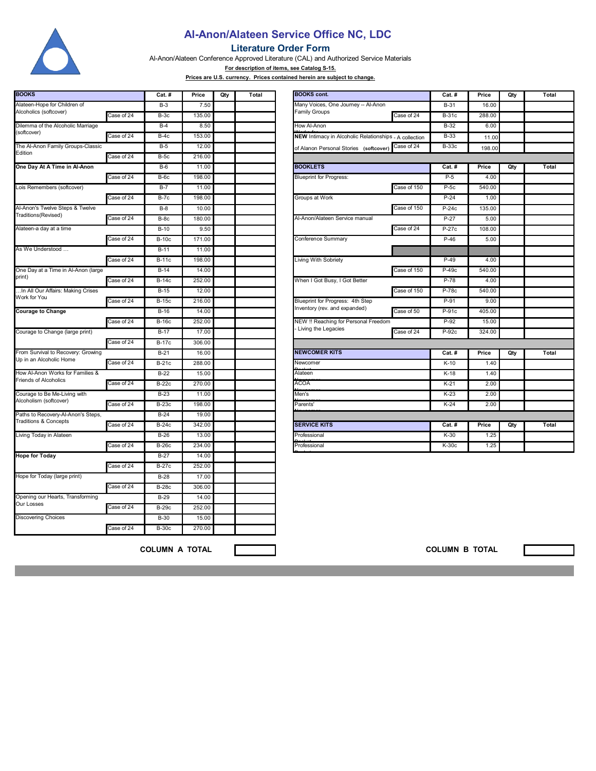

## **Al-Anon/Alateen Service Office NC, LDC**

## **Literature Order Form**

Al-Anon/Alateen Conference Approved Literature (CAL) and Authorized Service Materials

**For description of items, see Catalog S-15.**

**Prices are U.S. currency. Prices contained herein are subject to change.**

| <b>BOOKS</b>                        |            | Cat.#        | Price  | Qty | Total | <b>BOOKS</b> cont.                                     |             |              | Price  | Qty | Total |
|-------------------------------------|------------|--------------|--------|-----|-------|--------------------------------------------------------|-------------|--------------|--------|-----|-------|
| Alateen-Hope for Children of        |            | $B-3$        | 7.50   |     |       | Many Voices, One Journey -- Al-Anon                    |             | $B-31$       | 16.00  |     |       |
| Alcoholics (softcover)              | Case of 24 | $B-3c$       | 135.00 |     |       | <b>Family Groups</b>                                   | Case of 24  | $B-31c$      | 288.00 |     |       |
| Dilemma of the Alcoholic Marriage   |            | $B-4$        | 8.50   |     |       | How Al-Anon                                            |             | B-32         | 6.00   |     |       |
| (softcover)                         | Case of 24 | $B-4c$       | 153.00 |     |       | NEW Intimacy in Alcoholic Relationships - A collection |             | $B-33$       | 11.00  |     |       |
| The Al-Anon Family Groups-Classic   |            | $B-5$        | 12.00  |     |       | of Alanon Personal Stories (softcover)                 | Case of 24  | <b>B-33c</b> | 198.00 |     |       |
| Edition                             | Case of 24 | $B-5c$       | 216.00 |     |       |                                                        |             |              |        |     |       |
| One Day At A Time in Al-Anon        |            | $B-6$        | 11.00  |     |       | <b>BOOKLETS</b>                                        |             | Cat.#        | Price  | Qty | Total |
|                                     | Case of 24 | $B-6c$       | 198.00 |     |       | <b>Blueprint for Progress:</b>                         |             | $P-5$        | 4.00   |     |       |
| Lois Remembers (softcover)          |            | $B-7$        | 11.00  |     |       |                                                        | Case of 150 | $P-5c$       | 540.00 |     |       |
|                                     | Case of 24 | $B-7c$       | 198.00 |     |       | Groups at Work                                         |             | $P-24$       | 1.00   |     |       |
| Al-Anon's Twelve Steps & Twelve     |            | $B-8$        | 10.00  |     |       |                                                        | Case of 150 | $P-24c$      | 135.00 |     |       |
| Traditions(Revised)                 | Case of 24 | $B-8c$       | 180.00 |     |       | Al-Anon/Alateen Service manual                         |             | $P-27$       | 5.00   |     |       |
| Alateen-a day at a time             |            | $B-10$       | 9.50   |     |       |                                                        | Case of 24  | P-27c        | 108.00 |     |       |
|                                     | Case of 24 | <b>B-10c</b> | 171.00 |     |       | Conference Summary                                     |             | $P-46$       | 5.00   |     |       |
| As We Understood                    |            | $B-11$       | 11.00  |     |       |                                                        |             |              |        |     |       |
|                                     | Case of 24 | <b>B-11c</b> | 198.00 |     |       | Living With Sobriety                                   |             | $P-49$       | 4.00   |     |       |
| One Day at a Time in Al-Anon (large |            | $B-14$       | 14.00  |     |       |                                                        | Case of 150 | $P-49c$      | 540.00 |     |       |
| print)                              | Case of 24 | <b>B-14c</b> | 252.00 |     |       | When I Got Busy, I Got Better                          |             | P-78         | 4.00   |     |       |
| In All Our Affairs: Making Crises   |            | $B-15$       | 12.00  |     |       |                                                        | Case of 150 | P-78c        | 540.00 |     |       |
| Work for You                        | Case of 24 | <b>B-15c</b> | 216.00 |     |       | Blueprint for Progress: 4th Step                       |             | P-91         | 9.00   |     |       |
| <b>Courage to Change</b>            |            | $B-16$       | 14.00  |     |       | Inventory (rev. and expanded)                          | Case of 50  | P-91c        | 405.00 |     |       |
|                                     | Case of 24 | <b>B-16c</b> | 252.00 |     |       | NEW !! Reaching for Personal Freedom                   |             | $P-92$       | 15.00  |     |       |
| Courage to Change (large print)     |            | $B-17$       | 17.00  |     |       | Living the Legacies                                    | Case of 24  | P-92c        | 324.00 |     |       |
|                                     | Case of 24 | <b>B-17c</b> | 306.00 |     |       |                                                        |             |              |        |     |       |
| From Survival to Recovery: Growing  |            | $B-21$       | 16.00  |     |       | <b>NEWCOMER KITS</b>                                   |             | Cat. #       | Price  | Qty | Total |
| Up in an Alcoholic Home             | Case of 24 | <b>B-21c</b> | 288.00 |     |       | Newcomer                                               |             | $K-10$       | 1.40   |     |       |
| How Al-Anon Works for Families &    |            | $B-22$       | 15.00  |     |       | Alateen                                                |             | $K-18$       | 1.40   |     |       |
| Friends of Alcoholics               | Case of 24 | <b>B-22c</b> | 270.00 |     |       | <b>ACOA</b>                                            |             | $K-21$       | 2.00   |     |       |
| Courage to Be Me-Living with        |            | $B-23$       | 11.00  |     |       | Men's                                                  |             | $K-23$       | 2.00   |     |       |
| Alcoholism (softcover)              | Case of 24 | <b>B-23c</b> | 198.00 |     |       | Parents'                                               |             | $K-24$       | 2.00   |     |       |
| Paths to Recovery-Al-Anon's Steps,  |            | $B-24$       | 19.00  |     |       |                                                        |             |              |        |     |       |
| <b>Traditions &amp; Concepts</b>    | Case of 24 | <b>B-24c</b> | 342.00 |     |       | <b>SERVICE KITS</b>                                    |             | Cat. #       | Price  | Qty | Total |
| Living Today in Alateen             |            | $B-26$       | 13.00  |     |       | Professional                                           |             | $K-30$       | 1.25   |     |       |
|                                     | Case of 24 | $B-26c$      | 234.00 |     |       | Professional                                           |             | K-30c        | 1.25   |     |       |
| <b>Hope for Today</b>               |            | $B-27$       | 14.00  |     |       |                                                        |             |              |        |     |       |
|                                     | Case of 24 | <b>B-27c</b> | 252.00 |     |       |                                                        |             |              |        |     |       |
| Hope for Today (large print)        |            | $B-28$       | 17.00  |     |       |                                                        |             |              |        |     |       |
|                                     | Case of 24 | <b>B-28c</b> | 306.00 |     |       |                                                        |             |              |        |     |       |
| Opening our Hearts, Transforming    |            | $B-29$       | 14.00  |     |       |                                                        |             |              |        |     |       |
| Our Losses                          | Case of 24 | $B-29c$      | 252.00 |     |       |                                                        |             |              |        |     |       |
| <b>Discovering Choices</b>          |            | <b>B-30</b>  | 15.00  |     |       |                                                        |             |              |        |     |       |
|                                     | Case of 24 | <b>B-30c</b> | 270.00 |     |       |                                                        |             |              |        |     |       |
|                                     |            |              |        |     |       |                                                        |             |              |        |     |       |

|            | <b>Cat. #</b> | Price  | Qty                            | Total | <b>BOOKS</b> cont.                                     |             | <b>Cat. #</b> | Price  | Qty | Total        |
|------------|---------------|--------|--------------------------------|-------|--------------------------------------------------------|-------------|---------------|--------|-----|--------------|
|            | $B-3$         | 7.50   |                                |       | Many Voices, One Journey -- Al-Anon                    |             | B-31          | 16.00  |     |              |
| Case of 24 | $B-3c$        | 135.00 |                                |       | <b>Family Groups</b>                                   | Case of 24  | <b>B-31c</b>  | 288.00 |     |              |
|            | $B-4$         | 8.50   |                                |       | How Al-Anon                                            |             | $B-32$        | 6.00   |     |              |
| Case of 24 | $B-4c$        | 153.00 |                                |       | NEW Intimacy in Alcoholic Relationships - A collection |             | $B-33$        | 11.00  |     |              |
|            | $B-5$         | 12.00  |                                |       | of Alanon Personal Stories (softcover)                 | Case of 24  | <b>B-33c</b>  | 198.00 |     |              |
| Case of 24 | $B-5c$        | 216.00 |                                |       |                                                        |             |               |        |     |              |
|            | $B-6$         | 11.00  |                                |       | <b>BOOKLETS</b>                                        |             | $Cat.$ #      | Price  | Qty | Total        |
| Case of 24 | $B-6c$        | 198.00 | <b>Blueprint for Progress:</b> |       |                                                        |             | $P-5$         | 4.00   |     |              |
|            | $B-7$         | 11.00  |                                |       |                                                        | Case of 150 | $P-5c$        | 540.00 |     |              |
| Case of 24 | $B-7c$        | 198.00 |                                |       | Groups at Work                                         |             | $P-24$        | 1.00   |     |              |
|            | $B-8$         | 10.00  |                                |       |                                                        | Case of 150 | $P-24c$       | 135.00 |     |              |
| Case of 24 | $B-8c$        | 180.00 |                                |       | Al-Anon/Alateen Service manual                         |             | $P-27$        | 5.00   |     |              |
|            | $B-10$        | 9.50   |                                |       |                                                        | Case of 24  | $P-27c$       | 108.00 |     |              |
| Case of 24 | <b>B-10c</b>  | 171.00 |                                |       | Conference Summary                                     |             | $P-46$        | 5.00   |     |              |
|            | $B-11$        | 11.00  |                                |       |                                                        |             |               |        |     |              |
| Case of 24 | <b>B-11c</b>  | 198.00 |                                |       | Living With Sobriety                                   |             | $P-49$        | 4.00   |     |              |
|            | $B-14$        | 14.00  |                                |       |                                                        | Case of 150 | P-49c         | 540.00 |     |              |
| Case of 24 | <b>B-14c</b>  | 252.00 |                                |       | When I Got Busy, I Got Better                          |             | P-78          | 4.00   |     |              |
|            | $B-15$        | 12.00  |                                |       |                                                        | Case of 150 | P-78c         | 540.00 |     |              |
| Case of 24 | <b>B-15c</b>  | 216.00 |                                |       | Blueprint for Progress: 4th Step                       |             | $P-91$        | 9.00   |     |              |
|            | $B-16$        | 14.00  |                                |       | Inventory (rev. and expanded)                          | Case of 50  | P-91c         | 405.00 |     |              |
| Case of 24 | <b>B-16c</b>  | 252.00 |                                |       | NEW !! Reaching for Personal Freedom                   |             | $P-92$        | 15.00  |     |              |
|            | $B-17$        | 17.00  |                                |       | Living the Legacies                                    | Case of 24  | P-92c         | 324.00 |     |              |
| Case of 24 | <b>B-17c</b>  | 306.00 |                                |       |                                                        |             |               |        |     |              |
|            | $B-21$        | 16.00  |                                |       | <b>NEWCOMER KITS</b>                                   |             | Cat. #        | Price  | Qty | <b>Total</b> |
| Case of 24 | B-21c         | 288.00 |                                |       | Newcomer                                               |             | $K-10$        | 1.40   |     |              |
|            | $B-22$        | 15.00  |                                |       | Alateen                                                |             | $K-18$        | 1.40   |     |              |
| Case of 24 | <b>B-22c</b>  | 270.00 |                                |       | AC <sub>OA</sub>                                       |             | $K-21$        | 2.00   |     |              |
|            | $B-23$        | 11.00  |                                |       | Men's                                                  |             | $K-23$        | 2.00   |     |              |
| Case of 24 | <b>B-23c</b>  | 198.00 |                                |       | Parents'                                               |             | $K-24$        | 2.00   |     |              |
|            | $B-24$        | 19.00  |                                |       |                                                        |             |               |        |     |              |
| Case of 24 | B-24c         | 342.00 |                                |       | <b>SERVICE KITS</b>                                    |             | Cat.#         | Price  | Qty | Total        |
|            | $B-26$        | 13.00  |                                |       | Professional                                           |             | $K-30$        | 1.25   |     |              |
| Case of 24 | <b>B-26c</b>  | 234.00 |                                |       | Professional                                           |             | K-30c         | 1.25   |     |              |

**COLUMN A TOTAL COLUMN B TOTAL**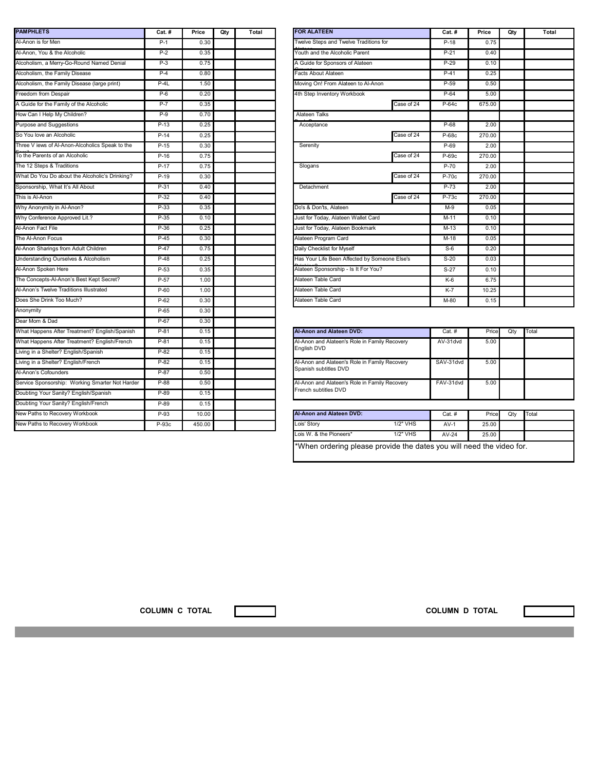| <b>PAMPHLETS</b>                                | Cat.#  | Price  | Qty | Total | <b>FOR ALATEEI</b>    |
|-------------------------------------------------|--------|--------|-----|-------|-----------------------|
| Al-Anon is for Men                              | $P-1$  | 0.30   |     |       | Twelve Steps a        |
| Al-Anon, You & the Alcoholic                    | $P-2$  | 0.35   |     |       | Youth and the         |
| Alcoholism, a Merry-Go-Round Named Denial       | $P-3$  | 0.75   |     |       | A Guide for Sp        |
| Alcoholism, the Family Disease                  | $P-4$  | 0.80   |     |       | <b>Facts About Al</b> |
| Alcoholism, the Family Disease (large print)    | $P-4L$ | 1.50   |     |       | Moving On! Fre        |
| Freedom from Despair                            | $P-6$  | 0.20   |     |       | 4th Step Inven        |
| A Guide for the Family of the Alcoholic         | $P-7$  | 0.35   |     |       |                       |
| How Can I Help My Children?                     | $P-9$  | 0.70   |     |       | <b>Alateen Talks</b>  |
| Purpose and Suggestions                         | $P-13$ | 0.25   |     |       | Acceptance            |
| So You love an Alcoholic                        | $P-14$ | 0.25   |     |       |                       |
| Three V iews of Al-Anon-Alcoholics Speak to the | $P-15$ | 0.30   |     |       | Serenity              |
| To the Parents of an Alcoholic                  | $P-16$ | 0.75   |     |       |                       |
| The 12 Steps & Traditions                       | $P-17$ | 0.75   |     |       | Slogans               |
| What Do You Do about the Alcoholic's Drinking?  | $P-19$ | 0.30   |     |       |                       |
| Sponsorship, What It's All About                | $P-31$ | 0.40   |     |       | Detachment            |
| This is Al-Anon                                 | $P-32$ | 0.40   |     |       |                       |
| Why Anonymity in Al-Anon?                       | $P-33$ | 0.35   |     |       | Do's & Don'ts,        |
| Why Conference Approved Lit.?                   | $P-35$ | 0.10   |     |       | Just for Today,       |
| Al-Anon Fact File                               | $P-36$ | 0.25   |     |       | Just for Today,       |
| The Al-Anon Focus                               | $P-45$ | 0.30   |     |       | Alateen Progra        |
| Al-Anon Sharings from Adult Children            | $P-47$ | 0.75   |     |       | Daily Checklist       |
| Understanding Ourselves & Alcoholism            | $P-48$ | 0.25   |     |       | Has Your Life I       |
| Al-Anon Spoken Here                             | $P-53$ | 0.35   |     |       | <b>Alateen Spons</b>  |
| The Concepts-Al-Anon's Best Kept Secret?        | P-57   | 1.00   |     |       | Alateen Table         |
| Al-Anon's Twelve Traditions Illustrated         | $P-60$ | 1.00   |     |       | Alateen Table         |
| Does She Drink Too Much?                        | $P-62$ | 0.30   |     |       | Alateen Table         |
| Anonymity                                       | $P-65$ | 0.30   |     |       |                       |
| Dear Mom & Dad                                  | P-67   | 0.30   |     |       |                       |
| What Happens After Treatment? English/Spanish   | $P-81$ | 0.15   |     |       | Al-Anon and A         |
| What Happens After Treatment? English/French    | P-81   | 0.15   |     |       | Al-Anon and A         |
| Living in a Shelter? English/Spanish            | $P-82$ | 0.15   |     |       | English DVD           |
| Living in a Shelter? English/French             | $P-82$ | 0.15   |     |       | Al-Anon and A         |
| Al-Anon's Cofounders                            | $P-87$ | 0.50   |     |       | Spanish subtitl       |
| Service Sponsorship: Working Smarter Not Harder | $P-88$ | 0.50   |     |       | Al-Anon and A         |
| Doubting Your Sanity? English/Spanish           | P-89   | 0.15   |     |       | French subtitle       |
| Doubting Your Sanity? English/French            | $P-89$ | 0.15   |     |       |                       |
| New Paths to Recovery Workbook                  | $P-93$ | 10.00  |     |       | Al-Anon and A         |
| New Paths to Recovery Workbook                  | P-93c  | 450.00 |     |       | Lois' Story           |

| <b>PAMPHLETS</b>                                | $Cat.$ # | Price | Qty | Total | <b>FOR ALATEEN</b>                            |            | $Cat.$ # | Price  | Qty | Total |
|-------------------------------------------------|----------|-------|-----|-------|-----------------------------------------------|------------|----------|--------|-----|-------|
| Al-Anon is for Men                              | $P-1$    | 0.30  |     |       | Twelve Steps and Twelve Traditions for        |            | $P-18$   | 0.75   |     |       |
| Al-Anon, You & the Alcoholic                    | $P-2$    | 0.35  |     |       | Youth and the Alcoholic Parent                |            | $P-21$   | 0.40   |     |       |
| Alcoholism, a Merry-Go-Round Named Denial       | $P-3$    | 0.75  |     |       | A Guide for Sponsors of Alateen               |            | $P-29$   | 0.10   |     |       |
| Alcoholism, the Family Disease                  | $P-4$    | 0.80  |     |       | Facts About Alateen                           |            | $P-41$   | 0.25   |     |       |
| Alcoholism, the Family Disease (large print)    | $P-4L$   | 1.50  |     |       | Moving On! From Alateen to Al-Anon            |            | $P-59$   | 0.50   |     |       |
| Freedom from Despair                            | $P-6$    | 0.20  |     |       | 4th Step Inventory Workbook                   |            | $P-64$   | 5.00   |     |       |
| A Guide for the Family of the Alcoholic         | $P-7$    | 0.35  |     |       |                                               | Case of 24 | P-64c    | 675.00 |     |       |
| How Can I Help My Children?                     | $P-9$    | 0.70  |     |       | <b>Alateen Talks</b>                          |            |          |        |     |       |
| Purpose and Suggestions                         | $P-13$   | 0.25  |     |       | Acceptance                                    |            | P-68     | 2.00   |     |       |
| So You love an Alcoholic                        | $P-14$   | 0.25  |     |       |                                               | Case of 24 | $P-68c$  | 270.00 |     |       |
| Three V iews of Al-Anon-Alcoholics Speak to the | $P-15$   | 0.30  |     |       | Serenity                                      |            | $P-69$   | 2.00   |     |       |
| To the Parents of an Alcoholic                  | $P-16$   | 0.75  |     |       |                                               | Case of 24 | P-69c    | 270.00 |     |       |
| The 12 Steps & Traditions                       | $P-17$   | 0.75  |     |       | Slogans                                       |            | $P-70$   | 2.00   |     |       |
| What Do You Do about the Alcoholic's Drinking?  | $P-19$   | 0.30  |     |       |                                               | Case of 24 | P-70c    | 270.00 |     |       |
| Sponsorship, What It's All About                | P-31     | 0.40  |     |       | Detachment                                    |            | P-73     | 2.00   |     |       |
| This is Al-Anon                                 | $P-32$   | 0.40  |     |       |                                               | Case of 24 | P-73c    | 270.00 |     |       |
| Why Anonymity in Al-Anon?                       | P-33     | 0.35  |     |       | Do's & Don'ts, Alateen                        |            | M-9      | 0.05   |     |       |
| Why Conference Approved Lit.?                   | $P-35$   | 0.10  |     |       | Just for Today, Alateen Wallet Card           |            | $M-11$   | 0.10   |     |       |
| Al-Anon Fact File                               | P-36     | 0.25  |     |       | Just for Today, Alateen Bookmark              |            | $M-13$   | 0.10   |     |       |
| The Al-Anon Focus                               | $P-45$   | 0.30  |     |       | Alateen Program Card                          |            | $M-18$   | 0.05   |     |       |
| Al-Anon Sharings from Adult Children            | P-47     | 0.75  |     |       | Daily Checklist for Myself                    |            | $S-6$    | 0.20   |     |       |
| Understanding Ourselves & Alcoholism            | $P-48$   | 0.25  |     |       | Has Your Life Been Affected by Someone Else's |            | $S-20$   | 0.03   |     |       |
| Al-Anon Spoken Here                             | $P-53$   | 0.35  |     |       | Alateen Sponsorship - Is It For You?          |            | $S-27$   | 0.10   |     |       |
| The Concepts-Al-Anon's Best Kept Secret?        | P-57     | 1.00  |     |       | Alateen Table Card                            |            |          | 6.75   |     |       |
| Al-Anon's Twelve Traditions Illustrated         | $P-60$   | 1.00  |     |       | Alateen Table Card                            |            | $K-7$    | 10.25  |     |       |
| Does She Drink Too Much?                        | P-62     | 0.30  |     |       | Alateen Table Card                            |            |          | 0.15   |     |       |
| Anonymity                                       | P-65     | 0.30  |     |       |                                               |            |          |        |     |       |

| P-81   | 0.15   | <b>Al-Anon and Alateen DVD:</b>                                        |          | $Cat.$ #  | Price | Qty | Total |
|--------|--------|------------------------------------------------------------------------|----------|-----------|-------|-----|-------|
| P-81   | 0.15   | Al-Anon and Alateen's Role in Family Recovery                          |          | AV-31dvd  | 5.00  |     |       |
| P-82   | 0.15   | English DVD                                                            |          |           |       |     |       |
| P-82   | 0.15   | Al-Anon and Alateen's Role in Family Recovery<br>Spanish subtitles DVD |          | SAV-31dvd | 5.00  |     |       |
| P-87   | 0.50   |                                                                        |          |           |       |     |       |
| $P-88$ | 0.50   | Al-Anon and Alateen's Role in Family Recovery                          |          | FAV-31dvd | 5.00  |     |       |
| P-89   | 0.15   | French subtitles DVD                                                   |          |           |       |     |       |
| P-89   | 0.15   |                                                                        |          |           |       |     |       |
| P-93   | 10.00  | <b>Al-Anon and Alateen DVD:</b>                                        |          | $Cat.$ #  | Price | Qty | Total |
| P-93c  | 450.00 | Lois' Story                                                            | 1/2" VHS | $AV-1$    | 25.00 |     |       |
|        |        | Lois W. & the Pioneers*                                                | 1/2" VHS | AV-24     | 25.00 |     |       |

\*When ordering please provide the dates you will need the video for.

**COLUMN C TOTAL COLUMN D TOTAL**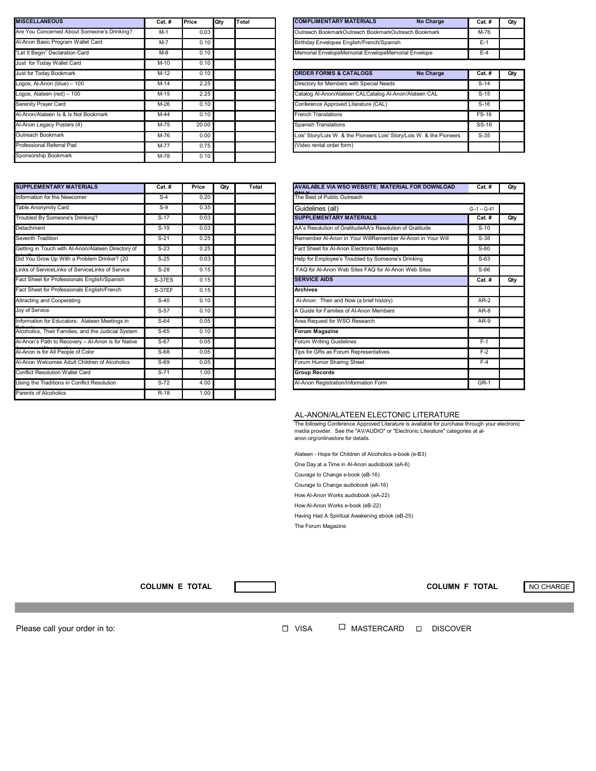| <b>MISCELLANEOUS</b>                        | Cat. #  | Price | Qty | Total | <b>COMPLIMENTARY MATERIALS</b><br>Qty<br>No Charge<br><b>Cat. #</b>             |
|---------------------------------------------|---------|-------|-----|-------|---------------------------------------------------------------------------------|
| Are You Concerned About Someone's Drinking? | $M-1$   | 0.03  |     |       | Outreach BookmarkOutreach BookmarkOutreach Bookmark<br>M-76                     |
| Al-Anon Basic Program Wallet Card           | $M - 7$ | 0.10  |     |       | Birthday Envelopes English/French/Spanish<br>$E-1$                              |
| 'Let It Begin" Declaration Card             | $M-8$   | 0.10  |     |       | Memorial EnvelopeMemorial EnvelopeMemorial Envelope<br>$E-4$                    |
| Just for Today Wallet Card                  | $M-10$  | 0.10  |     |       |                                                                                 |
| Just for Today Bookmark                     | $M-12$  | 0.10  |     |       | <b>ORDER FORMS &amp; CATALOGS</b><br><b>No Charge</b><br>Qty<br><b>Cat. #</b>   |
| Logos, Al-Anon (blue) - 100                 | $M-14$  | 2.25  |     |       | Directory for Members with Special Needs<br>$S-14$                              |
| Logos, Alateen (red) - 100                  | $M-15$  | 2.25  |     |       | Catalog Al-Anon/Alateen CALCatalog Al-Anon/Alateen CAL<br>$S-15$                |
| <b>Serenity Prayer Card</b>                 | M-26    | 0.10  |     |       | Conference Approved Literature (CAL)<br>$S-16$                                  |
| Al-Anon/Alateen Is & Is Not Bookmark        | $M-44$  | 0.10  |     |       | <b>French Translations</b><br><b>FS-16</b>                                      |
| Al-Anon Legacy Posters (4)                  | M-75    | 20.00 |     |       | <b>Spanish Translations</b><br>SS-16                                            |
| Outreach Bookmark                           | M-76    | 0.00  |     |       | Lois' Story/Lois W. & the Pioneers Lois' Story/Lois W. & the Pioneers<br>$S-35$ |
| Professional Referral Pad                   | M-77    | 0.75  |     |       | (Video rental order form)                                                       |
| Sponsorship Bookmark                        | M-78    | 0.10  |     |       |                                                                                 |

| <b>SUPPLEMENTARY MATERIALS</b>                      | Cat.#         | Price | Qty | Total | <b>AVAILABLE VIA WSO WEE</b> |
|-----------------------------------------------------|---------------|-------|-----|-------|------------------------------|
| Information for the Newcomer                        | $S-4$         | 0.20  |     |       | The Best of Public Outreach  |
| Table Anonymity Card                                | $S-9$         | 0.35  |     |       | Guidelines (all)             |
| Troubled By Someone's Drinking?                     | $S-17$        | 0.03  |     |       | <b>SUPPLEMENTARY MATER</b>   |
| Detachment                                          | $S-19$        | 0.03  |     |       | AA's Resolution of Gratitude |
| Seventh Tradition                                   | $S-21$        | 0.25  |     |       | Remember Al-Anon in Your     |
| Getting in Touch with Al-Anon/Alateen Directory of  | $S-23$        | 0.25  |     |       | Fact Sheet for Al-Anon Elect |
| Did You Grow Up With a Problem Drinker? (20         | $S-25$        | 0.03  |     |       | Help for Employee's Trouble  |
| Links of ServiceLinks of ServiceLinks of Service    | $S-28$        | 0.15  |     |       | FAQ for Al-Anon Web Sites    |
| Fact Sheet for Professionals English/Spanish        | <b>S-37ES</b> | 0.15  |     |       | <b>SERVICE AIDS</b>          |
| Fact Sheet for Professionals English/French         | <b>S-37EF</b> | 0.15  |     |       | <b>Archives</b>              |
| Attracting and Cooperating                          | $S-40$        | 0.10  |     |       | Al-Anon: Then and Now (a     |
| Joy of Service                                      | $S-57$        | 0.10  |     |       | A Guide for Families of Al-A |
| Information for Educators: Alateen Meetings in      | $S-64$        | 0.05  |     |       | Area Request for WSO Res     |
| Alcoholics, Their Families, and the Judicial System | $S-65$        | 0.10  |     |       | <b>Forum Magazine</b>        |
| Al-Anon's Path to Recovery - Al-Anon is for Native  | S-67          | 0.05  |     |       | Forum Writing Guidelines     |
| Al-Anon is for All People of Color                  | $S-68$        | 0.05  |     |       | Tips for GRs as Forum Repr   |
| Al-Anon Welcomes Adult Children of Alcoholics       | $S-69$        | 0.05  |     |       | Forum Humor Sharing Shee     |
| <b>Conflict Resolution Wallet Card</b>              | $S-71$        | 1.00  |     |       | <b>Group Records</b>         |
| Using the Traditions in Conflict Resolution         | $S-72$        | 4.00  |     |       | Al-Anon Registration/Informa |
| Parents of Alcoholics                               | $R-18$        | 1.00  |     |       |                              |

| Price                 | Qty | Total | <b>COMPLIMENTARY MATERIALS</b><br><b>No Charge</b>  | $Cat.$ # | Qty |
|-----------------------|-----|-------|-----------------------------------------------------|----------|-----|
| $0.03$ .              |     |       | Outreach BookmarkOutreach BookmarkOutreach Bookmark | M-76     |     |
| 0.10                  |     |       | Birthday Envelopes English/French/Spanish           | Е-       |     |
| $0.10$ $\blacksquare$ |     |       | Memorial EnvelopeMemorial EnvelopeMemorial Envelope | $E-4$    |     |

| M-12   | 0.10  |  | <b>ORDER FORMS &amp; CATALOGS</b><br>No Charge                        | <b>Cat. #</b> | Qty |
|--------|-------|--|-----------------------------------------------------------------------|---------------|-----|
| $M-14$ | 2.25  |  | Directory for Members with Special Needs                              | $S-14$        |     |
| $M-15$ | 2.25  |  | Catalog Al-Anon/Alateen CALCatalog Al-Anon/Alateen CAL                | $S-15$        |     |
| $M-26$ | 0.10  |  | Conference Approved Literature (CAL)                                  | $S-16$        |     |
| M-44   | 0.10  |  | <b>French Translations</b>                                            | <b>FS-16</b>  |     |
| M-75   | 20.00 |  | Spanish Translations                                                  | SS-16         |     |
| M-76   | 0.00  |  | Lois' Story/Lois W. & the Pioneers Lois' Story/Lois W. & the Pioneers | $S-35$        |     |
| $M-77$ | 0.75  |  | (Video rental order form)                                             |               |     |

| Price | Qty | Total | AVAILABLE VIA WSO WEBSITE; MATERIAL FOR DOWNLOAD           | <b>Cat. #</b>    | Qty |
|-------|-----|-------|------------------------------------------------------------|------------------|-----|
| 0.20  |     |       | The Best of Public Outreach                                |                  |     |
| 0.35  |     |       | Guidelines (all)                                           | $G - 1 - G - 41$ |     |
| 0.03  |     |       | <b>SUPPLEMENTARY MATERIALS</b>                             | Cat. #           | Qty |
| 0.03  |     |       | AA's Resolution of GratitudeAA's Resolution of Gratitude   | $S-10$           |     |
| 0.25  |     |       | Remember Al-Anon in Your WillRemember Al-Anon in Your Will | $S-38$           |     |
| 0.25  |     |       | Fact Sheet for Al-Anon Electronic Meetings                 | $S-60$           |     |
| 0.03  |     |       | Help for Employee's Troubled by Someone's Drinking         | $S-63$           |     |
| 0.15  |     |       | FAQ for Al-Anon Web Sites FAQ for Al-Anon Web Sites        | $S-66$           |     |
| 0.15  |     |       | <b>SERVICE AIDS</b>                                        | <b>Cat. #</b>    | Qty |
| 0.15  |     |       | <b>Archives</b>                                            |                  |     |
| 0.10  |     |       | Al-Anon: Then and Now (a brief history)                    | $AR-2$           |     |
| 0.10  |     |       | A Guide for Families of Al-Anon Members                    | AR-8             |     |
| 0.05  |     |       | Area Request for WSO Research                              | AR-9             |     |
| 0.10  |     |       | <b>Forum Magazine</b>                                      |                  |     |
| 0.05  |     |       | Forum Writing Guidelines                                   | $F-1$            |     |
| 0.05  |     |       | Tips for GRs as Forum Representatives                      | $F-2$            |     |
| 0.05  |     |       | Forum Humor Sharing Sheet                                  | $F-4$            |     |
| 1.00  |     |       | <b>Group Records</b>                                       |                  |     |
| 4.00  |     |       | Al-Anon Registration/Information Form                      | <b>GR-1</b>      |     |
|       |     |       |                                                            |                  |     |

## AL-ANON/ALATEEN ELECTONIC LITERATURE

The following Conference Approved Literature is available for purchase through your electronic media provider. See the "AV/AUDIO" or "Electronic Literature" categories at al-anon.org/onlinestore for details.

Alateen - Hope for Children of Alcoholics e-book (e-B3)

One Day at a Time in Al-Anon audiobook (eA-6)

Courage to Change e-book (eB-16)

Courage to Change audiobook (eA-16)

How Al-Anon Works audiobook (eA-22)

How Al-Anon Works e-book (eB-22)

Having Had A Spiritual Awakening ebook (eB-25)

The Forum Magazine

**COLUMN E TOTAL COLUMN F TOTAL** NO CHARGE

Please call your order in to:

 $\Box$  VISA  $\qquad \Box$  MASTERCARD  $\Box$  DISCOVER